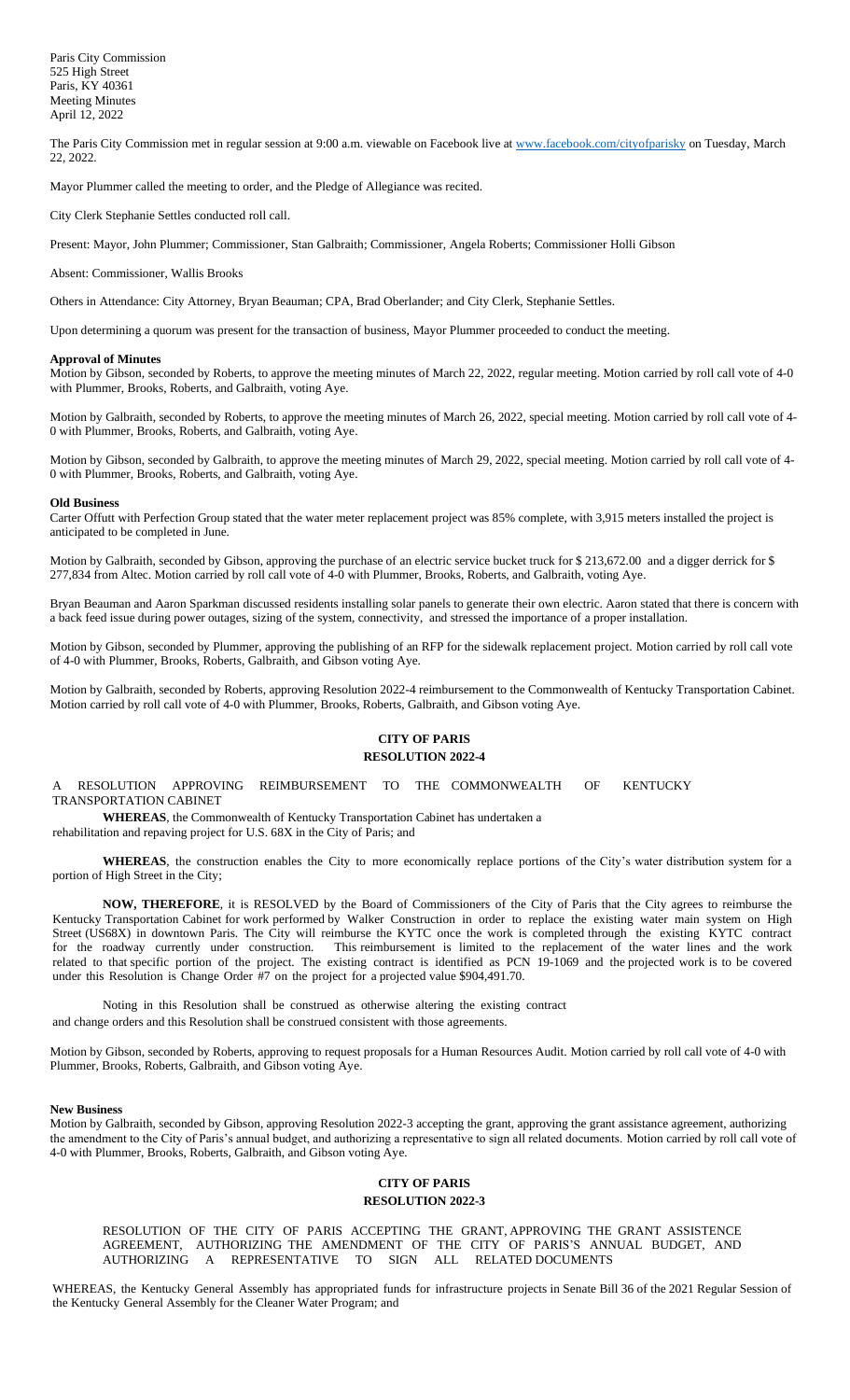The Paris City Commission met in regular session at 9:00 a.m. viewable on Facebook live a[t www.facebook.com/cityofparisky](http://www.facebook.com/cityofparisky) on Tuesday, March 22, 2022.

Mayor Plummer called the meeting to order, and the Pledge of Allegiance was recited.

City Clerk Stephanie Settles conducted roll call.

Present: Mayor, John Plummer; Commissioner, Stan Galbraith; Commissioner, Angela Roberts; Commissioner Holli Gibson

#### Absent: Commissioner, Wallis Brooks

Others in Attendance: City Attorney, Bryan Beauman; CPA, Brad Oberlander; and City Clerk, Stephanie Settles.

Upon determining a quorum was present for the transaction of business, Mayor Plummer proceeded to conduct the meeting.

#### **Approval of Minutes**

Motion by Gibson, seconded by Roberts, to approve the meeting minutes of March 22, 2022, regular meeting. Motion carried by roll call vote of 4-0 with Plummer, Brooks, Roberts, and Galbraith, voting Aye.

Motion by Galbraith, seconded by Roberts, to approve the meeting minutes of March 26, 2022, special meeting. Motion carried by roll call vote of 4- 0 with Plummer, Brooks, Roberts, and Galbraith, voting Aye.

Motion by Gibson, seconded by Galbraith, to approve the meeting minutes of March 29, 2022, special meeting. Motion carried by roll call vote of 4- 0 with Plummer, Brooks, Roberts, and Galbraith, voting Aye.

#### **Old Business**

Carter Offutt with Perfection Group stated that the water meter replacement project was 85% complete, with 3,915 meters installed the project is anticipated to be completed in June.

Motion by Galbraith, seconded by Gibson, approving the purchase of an electric service bucket truck for \$ 213,672.00 and a digger derrick for \$ 277,834 from Altec. Motion carried by roll call vote of 4-0 with Plummer, Brooks, Roberts, and Galbraith, voting Aye.

Bryan Beauman and Aaron Sparkman discussed residents installing solar panels to generate their own electric. Aaron stated that there is concern with a back feed issue during power outages, sizing of the system, connectivity, and stressed the importance of a proper installation.

Motion by Gibson, seconded by Plummer, approving the publishing of an RFP for the sidewalk replacement project. Motion carried by roll call vote of 4-0 with Plummer, Brooks, Roberts, Galbraith, and Gibson voting Aye.

Motion by Galbraith, seconded by Roberts, approving Resolution 2022-4 reimbursement to the Commonwealth of Kentucky Transportation Cabinet. Motion carried by roll call vote of 4-0 with Plummer, Brooks, Roberts, Galbraith, and Gibson voting Aye.

# **CITY OF PARIS RESOLUTION 2022-4**

A RESOLUTION APPROVING REIMBURSEMENT TO THE COMMONWEALTH OF KENTUCKY TRANSPORTATION CABINET

**WHEREAS**, the Commonwealth of Kentucky Transportation Cabinet has undertaken a rehabilitation and repaving project for U.S. 68X in the City of Paris; and

**WHEREAS**, the construction enables the City to more economically replace portions of the City's water distribution system for a portion of High Street in the City;

**NOW, THEREFORE**, it is RESOLVED by the Board of Commissioners of the City of Paris that the City agrees to reimburse the Kentucky Transportation Cabinet for work performed by Walker Construction in order to replace the existing water main system on High Street (US68X) in downtown Paris. The City will reimburse the KYTC once the work is completed through the existing KYTC contract for the roadway currently under construction. This reimbursement is limited to the replacement of the water lines and the work related to that specific portion of the project. The existing contract is identified as PCN 19-1069 and the projected work is to be covered under this Resolution is Change Order #7 on the project for a projected value \$904,491.70.

Noting in this Resolution shall be construed as otherwise altering the existing contract and change orders and this Resolution shall be construed consistent with those agreements.

Motion by Gibson, seconded by Roberts, approving to request proposals for a Human Resources Audit. Motion carried by roll call vote of 4-0 with Plummer, Brooks, Roberts, Galbraith, and Gibson voting Aye.

#### **New Business**

Motion by Galbraith, seconded by Gibson, approving Resolution 2022-3 accepting the grant, approving the grant assistance agreement, authorizing the amendment to the City of Paris's annual budget, and authorizing a representative to sign all related documents. Motion carried by roll call vote of 4-0 with Plummer, Brooks, Roberts, Galbraith, and Gibson voting Aye.

# **CITY OF PARIS RESOLUTION 2022-3**

### RESOLUTION OF THE CITY OF PARIS ACCEPTING THE GRANT, APPROVING THE GRANT ASSISTENCE AGREEMENT, AUTHORIZING THE AMENDMENT OF THE CITY OF PARIS'S ANNUAL BUDGET, AND AUTHORIZING A REPRESENTATIVE TO SIGN ALL RELATED DOCUMENTS

WHEREAS, the Kentucky General Assembly has appropriated funds for infrastructure projects in Senate Bill 36 of the 2021 Regular Session of the Kentucky General Assembly for the Cleaner Water Program; and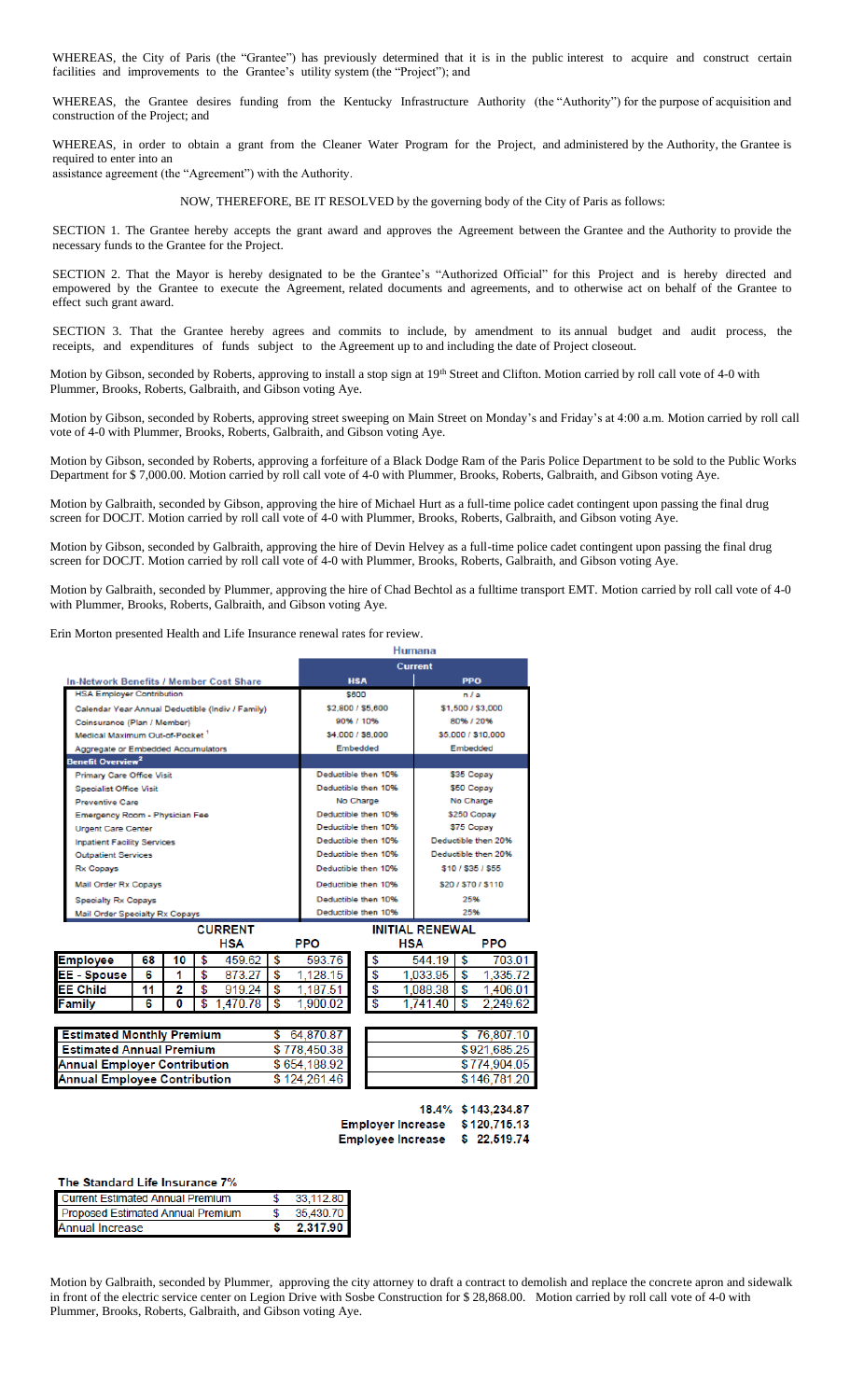WHEREAS, the City of Paris (the "Grantee") has previously determined that it is in the public interest to acquire and construct certain facilities and improvements to the Grantee's utility system (the "Project"); and

WHEREAS, the Grantee desires funding from the Kentucky Infrastructure Authority (the "Authority") for the purpose of acquisition and construction of the Project; and

WHEREAS, in order to obtain a grant from the Cleaner Water Program for the Project, and administered by the Authority, the Grantee is required to enter into an assistance agreement (the "Agreement") with the Authority.

NOW, THEREFORE, BE IT RESOLVED by the governing body of the City of Paris as follows:

SECTION 1. The Grantee hereby accepts the grant award and approves the Agreement between the Grantee and the Authority to provide the necessary funds to the Grantee for the Project.

SECTION 2. That the Mayor is hereby designated to be the Grantee's "Authorized Official" for this Project and is hereby directed and empowered by the Grantee to execute the Agreement, related documents and agreements, and to otherwise act on behalf of the Grantee to effect such grant award.

SECTION 3. That the Grantee hereby agrees and commits to include, by amendment to its annual budget and audit process, the receipts, and expenditures of funds subject to the Agreement up to and including the date of Project closeout.

Motion by Gibson, seconded by Roberts, approving to install a stop sign at 19th Street and Clifton. Motion carried by roll call vote of 4-0 with Plummer, Brooks, Roberts, Galbraith, and Gibson voting Aye.

Motion by Gibson, seconded by Roberts, approving street sweeping on Main Street on Monday's and Friday's at 4:00 a.m. Motion carried by roll call vote of 4-0 with Plummer, Brooks, Roberts, Galbraith, and Gibson voting Aye.

Motion by Gibson, seconded by Roberts, approving a forfeiture of a Black Dodge Ram of the Paris Police Department to be sold to the Public Works Department for \$ 7,000.00. Motion carried by roll call vote of 4-0 with Plummer, Brooks, Roberts, Galbraith, and Gibson voting Aye.

Motion by Galbraith, seconded by Gibson, approving the hire of Michael Hurt as a full-time police cadet contingent upon passing the final drug screen for DOCJT. Motion carried by roll call vote of 4-0 with Plummer, Brooks, Roberts, Galbraith, and Gibson voting Aye.

Motion by Gibson, seconded by Galbraith, approving the hire of Devin Helvey as a full-time police cadet contingent upon passing the final drug screen for DOCJT. Motion carried by roll call vote of 4-0 with Plummer, Brooks, Roberts, Galbraith, and Gibson voting Aye.

Motion by Galbraith, seconded by Plummer, approving the hire of Chad Bechtol as a fulltime transport EMT. Motion carried by roll call vote of 4-0 with Plummer, Brooks, Roberts, Galbraith, and Gibson voting Aye.

Erin Morton presented Health and Life Insurance renewal rates for review.

|                                            |    |    |                                                  |    | <b>Humana</b>       |                     |                        |                     |                     |
|--------------------------------------------|----|----|--------------------------------------------------|----|---------------------|---------------------|------------------------|---------------------|---------------------|
|                                            |    |    |                                                  |    |                     | <b>Current</b>      |                        |                     |                     |
|                                            |    |    | <b>In-Network Benefits / Member Cost Share</b>   |    |                     | <b>HSA</b>          |                        | <b>PPO</b>          |                     |
| <b>HSA Employer Contribution</b>           |    |    |                                                  |    |                     | \$600               |                        | n / a               |                     |
|                                            |    |    | Calendar Year Annual Deductible (Indiv / Family) |    |                     | \$2,800 / \$5,600   |                        |                     | \$1,500 / \$3,000   |
| Coinsurance (Plan / Member)                |    |    |                                                  |    |                     | 90% / 10%           |                        | 80% / 20%           |                     |
| Medical Maximum Out-of-Pocket <sup>1</sup> |    |    |                                                  |    | \$4,000 / \$8,000   |                     | \$5,000 / \$10,000     |                     |                     |
| Aggregate or Embedded Accumulators         |    |    |                                                  |    | Embedded            |                     |                        | Embedded            |                     |
| Benefit Overview <sup>2</sup>              |    |    |                                                  |    |                     |                     |                        |                     |                     |
| <b>Primary Care Office Visit</b>           |    |    |                                                  |    |                     | Deductible then 10% |                        | \$35 Copay          |                     |
| <b>Specialist Office Visit</b>             |    |    |                                                  |    |                     | Deductible then 10% |                        | \$50 Copay          |                     |
| <b>Preventive Care</b>                     |    |    |                                                  |    |                     | No Charge           |                        | No Charge           |                     |
| Emergency Room - Physician Fee             |    |    |                                                  |    | Deductible then 10% |                     | \$250 Copay            |                     |                     |
| <b>Urgent Care Center</b>                  |    |    |                                                  |    | Deductible then 10% |                     | \$75 Copay             |                     |                     |
| <b>Inpatient Facility Services</b>         |    |    |                                                  |    | Deductible then 10% |                     |                        | Deductible then 20% |                     |
| <b>Outpatient Services</b>                 |    |    |                                                  |    |                     | Deductible then 10% |                        |                     | Deductible then 20% |
| <b>Rx Copays</b>                           |    |    |                                                  |    |                     | Deductible then 10% |                        |                     | \$10 / \$35 / \$55  |
| <b>Mail Order Rx Copays</b>                |    |    |                                                  |    |                     | Deductible then 10% |                        |                     | \$20/\$70/\$110     |
| <b>Specialty Rx Copays</b>                 |    |    |                                                  |    |                     | Deductible then 10% |                        | 25%                 |                     |
| Mail Order Specialty Rx Copays             |    |    |                                                  |    |                     | Deductible then 10% | 25%                    |                     |                     |
|                                            |    |    | <b>CURRENT</b>                                   |    |                     |                     | <b>INITIAL RENEWAL</b> |                     |                     |
|                                            |    |    | HSA                                              |    | <b>PPO</b>          | <b>HSA</b>          |                        |                     | <b>PPO</b>          |
| <b>Employee</b>                            | 68 | 10 | \$<br>459.62                                     | \$ | 593.76              | \$                  | 544.19                 | \$                  | 703.01              |
| <b>EE</b> - Spouse                         | 6  | 1  | \$<br>873.27                                     | \$ | 1.128.15            | \$                  | 1.033.95               | \$                  | 1.335.72            |
| <b>EE Child</b>                            | 11 | 2  | \$<br>919.24                                     | \$ | 1.187.51            | \$                  | 1.088.38               | \$                  | 1.406.01            |
| Family                                     | 6  | 0  | \$<br>1,470.78                                   | \$ | 1.900.02            | \$                  | 1.741.40               | \$                  | 2.249.62            |
|                                            |    |    |                                                  |    |                     |                     |                        |                     |                     |
| <b>Estimated Monthly Premium</b><br>\$     |    |    | 64.870.87                                        |    |                     | \$                  | 76,807.10              |                     |                     |
| <b>Estimated Annual Premium</b>            |    |    | \$778.450.38                                     |    |                     |                     | \$921 685 25           |                     |                     |

| <b>ESUINATED MONTHLY FIGHTURIII</b> | 0.04, 010, 011 |  |
|-------------------------------------|----------------|--|
| <b>Estimated Annual Premium</b>     | \$778,450.38   |  |
| <b>Annual Employer Contribution</b> | \$654,188.92   |  |
| <b>Annual Employee Contribution</b> | \$124,261.46   |  |
|                                     |                |  |

|                   | \$146,781.20        |
|-------------------|---------------------|
|                   |                     |
|                   | 18.4% \$143,234.87  |
| Employar Increace | <b>C 400 745 42</b> |

\$774,904.05

**Employee Increase**  $$22.519.74$ 

| The Standard Life Insurance 7% |  |  |  |
|--------------------------------|--|--|--|
|                                |  |  |  |

| <b>Current Estimated Annual Premium</b> | 33,112.80 |
|-----------------------------------------|-----------|
| Proposed Estimated Annual Premium       | 35,430.70 |
| <b>Annual Increase</b>                  | 2,317.90  |

Motion by Galbraith, seconded by Plummer, approving the city attorney to draft a contract to demolish and replace the concrete apron and sidewalk in front of the electric service center on Legion Drive with Sosbe Construction for \$ 28,868.00. Motion carried by roll call vote of 4-0 with Plummer, Brooks, Roberts, Galbraith, and Gibson voting Aye.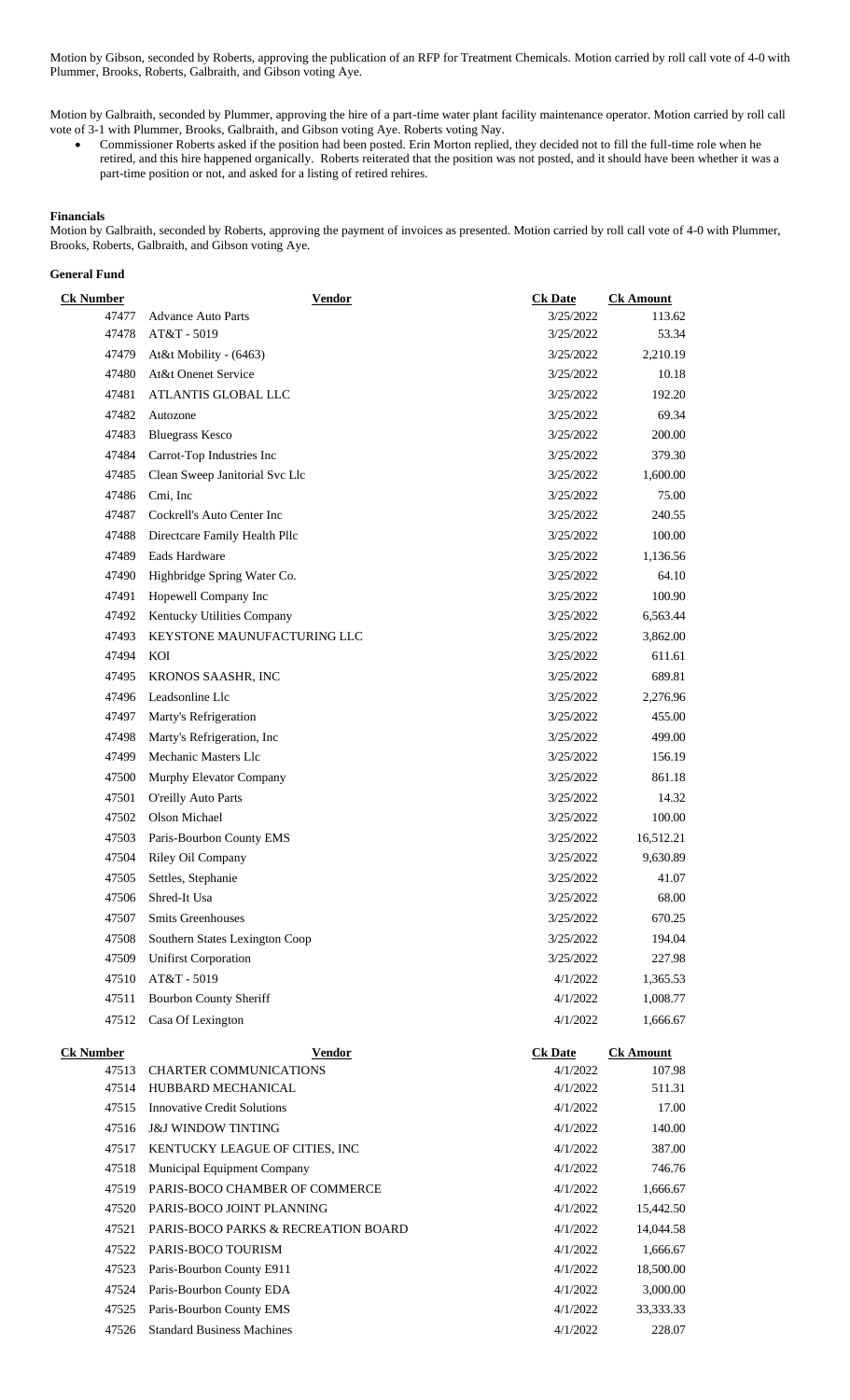Motion by Gibson, seconded by Roberts, approving the publication of an RFP for Treatment Chemicals. Motion carried by roll call vote of 4-0 with Plummer, Brooks, Roberts, Galbraith, and Gibson voting Aye.

Motion by Galbraith, seconded by Plummer, approving the hire of a part-time water plant facility maintenance operator. Motion carried by roll call vote of 3-1 with Plummer, Brooks, Galbraith, and Gibson voting Aye. Roberts voting Nay.

• Commissioner Roberts asked if the position had been posted. Erin Morton replied, they decided not to fill the full-time role when he retired, and this hire happened organically. Roberts reiterated that the position was not posted, and it should have been whether it was a part-time position or not, and asked for a listing of retired rehires.

## **Financials**

Motion by Galbraith, seconded by Roberts, approving the payment of invoices as presented. Motion carried by roll call vote of 4-0 with Plummer, Brooks, Roberts, Galbraith, and Gibson voting Aye.

## **General Fund**

| <b>Ck Number</b> | <b>Vendor</b>                       | <b>Ck Date</b> | <b>Ck Amount</b> |
|------------------|-------------------------------------|----------------|------------------|
| 47477            | <b>Advance Auto Parts</b>           | 3/25/2022      | 113.62           |
| 47478            | AT&T - 5019                         | 3/25/2022      | 53.34            |
| 47479            | At&t Mobility - (6463)              | 3/25/2022      | 2,210.19         |
| 47480            | At&t Onenet Service                 | 3/25/2022      | 10.18            |
| 47481            | ATLANTIS GLOBAL LLC                 | 3/25/2022      | 192.20           |
| 47482            | Autozone                            | 3/25/2022      | 69.34            |
| 47483            | <b>Bluegrass Kesco</b>              | 3/25/2022      | 200.00           |
| 47484            | Carrot-Top Industries Inc           | 3/25/2022      | 379.30           |
| 47485            | Clean Sweep Janitorial Svc Llc      | 3/25/2022      | 1,600.00         |
| 47486            | Cmi, Inc                            | 3/25/2022      | 75.00            |
| 47487            | Cockrell's Auto Center Inc          | 3/25/2022      | 240.55           |
| 47488            | Directcare Family Health Pllc       | 3/25/2022      | 100.00           |
| 47489            | Eads Hardware                       | 3/25/2022      | 1,136.56         |
| 47490            | Highbridge Spring Water Co.         | 3/25/2022      | 64.10            |
| 47491            | Hopewell Company Inc                | 3/25/2022      | 100.90           |
| 47492            | Kentucky Utilities Company          | 3/25/2022      | 6,563.44         |
| 47493            | KEYSTONE MAUNUFACTURING LLC         | 3/25/2022      | 3,862.00         |
| 47494            | KOI                                 | 3/25/2022      | 611.61           |
| 47495            | KRONOS SAASHR, INC                  | 3/25/2022      | 689.81           |
| 47496            | Leadsonline Llc                     | 3/25/2022      | 2,276.96         |
| 47497            | Marty's Refrigeration               | 3/25/2022      | 455.00           |
| 47498            | Marty's Refrigeration, Inc.         | 3/25/2022      | 499.00           |
| 47499            | Mechanic Masters Llc                | 3/25/2022      | 156.19           |
| 47500            | Murphy Elevator Company             | 3/25/2022      | 861.18           |
| 47501            | O'reilly Auto Parts                 | 3/25/2022      | 14.32            |
| 47502            | Olson Michael                       | 3/25/2022      | 100.00           |
| 47503            | Paris-Bourbon County EMS            | 3/25/2022      | 16,512.21        |
| 47504            | Riley Oil Company                   | 3/25/2022      | 9,630.89         |
| 47505            | Settles, Stephanie                  | 3/25/2022      | 41.07            |
|                  | Shred-It Usa                        | 3/25/2022      | 68.00            |
| 47506            |                                     |                |                  |
| 47507            | <b>Smits Greenhouses</b>            | 3/25/2022      | 670.25           |
| 47508            | Southern States Lexington Coop      | 3/25/2022      | 194.04           |
| 47509            | <b>Unifirst Corporation</b>         | 3/25/2022      | 227.98           |
| 47510            | AT&T - 5019                         | 4/1/2022       | 1,365.53         |
| 47511            | <b>Bourbon County Sheriff</b>       | 4/1/2022       | 1,008.77         |
| 47512            | Casa Of Lexington                   | 4/1/2022       | 1,666.67         |
| Ck Number        | <b>Vendor</b>                       | <b>Ck Date</b> | <b>Ck Amount</b> |
| 47513            | <b>CHARTER COMMUNICATIONS</b>       | 4/1/2022       | 107.98           |
| 47514            | HUBBARD MECHANICAL                  | 4/1/2022       | 511.31           |
| 47515            | <b>Innovative Credit Solutions</b>  | 4/1/2022       | 17.00            |
| 47516            | <b>J&amp;J WINDOW TINTING</b>       | 4/1/2022       | 140.00           |
| 47517            | KENTUCKY LEAGUE OF CITIES, INC      | 4/1/2022       | 387.00           |
| 47518            | Municipal Equipment Company         | 4/1/2022       | 746.76           |
| 47519            | PARIS-BOCO CHAMBER OF COMMERCE      | 4/1/2022       | 1,666.67         |
| 47520            | PARIS-BOCO JOINT PLANNING           | 4/1/2022       | 15,442.50        |
| 47521            | PARIS-BOCO PARKS & RECREATION BOARD | 4/1/2022       | 14,044.58        |
| 47522            | PARIS-BOCO TOURISM                  | 4/1/2022       | 1,666.67         |
| 47523            | Paris-Bourbon County E911           | 4/1/2022       | 18,500.00        |
| 47524            | Paris-Bourbon County EDA            | 4/1/2022       | 3,000.00         |
| 47525            | Paris-Bourbon County EMS            | 4/1/2022       | 33,333.33        |
| 47526            | <b>Standard Business Machines</b>   | 4/1/2022       | 228.07           |
|                  |                                     |                |                  |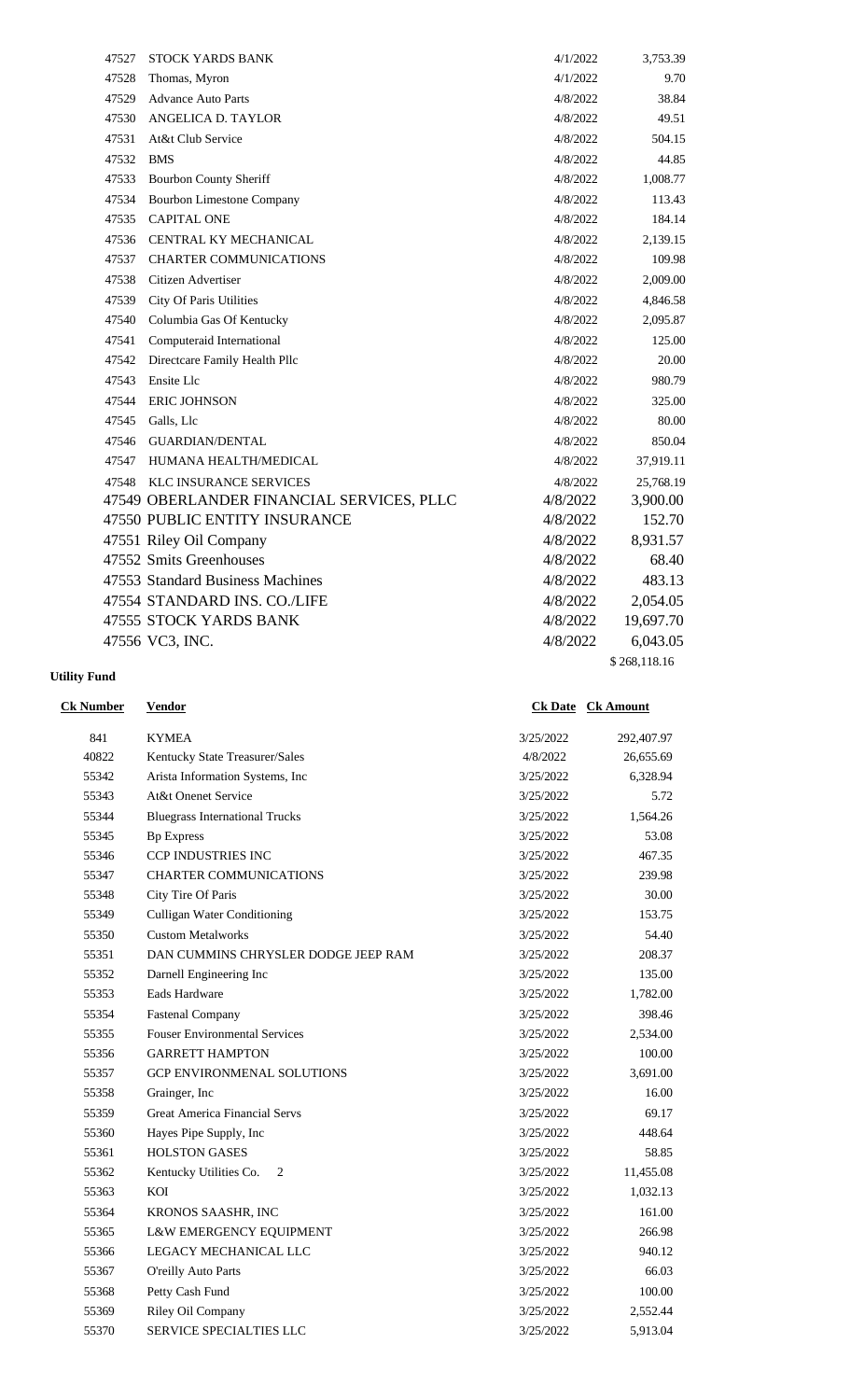| 47527 | STOCK YARDS BANK                          | 4/1/2022 | 3,753.39     |
|-------|-------------------------------------------|----------|--------------|
| 47528 | Thomas, Myron                             | 4/1/2022 | 9.70         |
| 47529 | <b>Advance Auto Parts</b>                 | 4/8/2022 | 38.84        |
| 47530 | ANGELICA D. TAYLOR                        | 4/8/2022 | 49.51        |
| 47531 | At&t Club Service                         | 4/8/2022 | 504.15       |
| 47532 | <b>BMS</b>                                | 4/8/2022 | 44.85        |
| 47533 | <b>Bourbon County Sheriff</b>             | 4/8/2022 | 1,008.77     |
| 47534 | <b>Bourbon Limestone Company</b>          | 4/8/2022 | 113.43       |
| 47535 | <b>CAPITAL ONE</b>                        | 4/8/2022 | 184.14       |
| 47536 | CENTRAL KY MECHANICAL                     | 4/8/2022 | 2,139.15     |
| 47537 | <b>CHARTER COMMUNICATIONS</b>             | 4/8/2022 | 109.98       |
| 47538 | Citizen Advertiser                        | 4/8/2022 | 2,009.00     |
| 47539 | City Of Paris Utilities                   | 4/8/2022 | 4,846.58     |
| 47540 | Columbia Gas Of Kentucky                  | 4/8/2022 | 2,095.87     |
| 47541 | Computeraid International                 | 4/8/2022 | 125.00       |
| 47542 | Directcare Family Health Pllc             | 4/8/2022 | 20.00        |
| 47543 | Ensite Llc                                | 4/8/2022 | 980.79       |
| 47544 | <b>ERIC JOHNSON</b>                       | 4/8/2022 | 325.00       |
| 47545 | Galls, Llc                                | 4/8/2022 | 80.00        |
| 47546 | <b>GUARDIAN/DENTAL</b>                    | 4/8/2022 | 850.04       |
| 47547 | HUMANA HEALTH/MEDICAL                     | 4/8/2022 | 37,919.11    |
| 47548 | KLC INSURANCE SERVICES                    | 4/8/2022 | 25,768.19    |
|       | 47549 OBERLANDER FINANCIAL SERVICES, PLLC | 4/8/2022 | 3,900.00     |
|       | 47550 PUBLIC ENTITY INSURANCE             | 4/8/2022 | 152.70       |
|       | 47551 Riley Oil Company                   | 4/8/2022 | 8,931.57     |
|       | 47552 Smits Greenhouses                   | 4/8/2022 | 68.40        |
|       | 47553 Standard Business Machines          | 4/8/2022 | 483.13       |
|       | 47554 STANDARD INS. CO./LIFE              | 4/8/2022 | 2,054.05     |
|       | 47555 STOCK YARDS BANK                    | 4/8/2022 | 19,697.70    |
|       | 47556 VC3, INC.                           | 4/8/2022 | 6,043.05     |
|       |                                           |          | \$268,118.16 |

# **Utility Fund**

841 KYMEA 3/25/2022 292,407.97 Kentucky State Treasurer/Sales 4/8/2022 26,655.69 Arista Information Systems, Inc 3/25/2022 6,328.94 At&t Onenet Service 3/25/2022 5.72 Bluegrass International Trucks 3/25/2022 1,564.26 55345 Bp Express 53.08 CCP INDUSTRIES INC 3/25/2022 467.35 CHARTER COMMUNICATIONS 3/25/2022 239.98 City Tire Of Paris 3/25/2022 30.00 Culligan Water Conditioning 3/25/2022 153.75 Custom Metalworks 3/25/2022 54.40 55351 DAN CUMMINS CHRYSLER DODGE JEEP RAM 3/25/2022 208.37 Darnell Engineering Inc 3/25/2022 135.00 Eads Hardware 3/25/2022 1,782.00 Fastenal Company 3/25/2022 398.46 Fouser Environmental Services 3/25/2022 2,534.00 GARRETT HAMPTON 3/25/2022 100.00 55357 GCP ENVIRONMENAL SOLUTIONS 3/25/2022 3,691.00 55358 Grainger, Inc 3/25/2022 16.00 Great America Financial Servs 3/25/2022 69.17 Hayes Pipe Supply, Inc 3/25/2022 448.64 HOLSTON GASES 3/25/2022 58.85

 Kentucky Utilities Co. 2 3/25/2022 11,455.08 55363 KOI 3/25/2022 1,032.13 55364 KRONOS SAASHR, INC 3/25/2022 161.00 L&W EMERGENCY EQUIPMENT 3/25/2022 266.98 LEGACY MECHANICAL LLC 3/25/2022 940.12 O'reilly Auto Parts 3/25/2022 66.03 55368 Petty Cash Fund 3/25/2022 100.00 55369 Riley Oil Company 3/25/2022 2,552.44 SERVICE SPECIALTIES LLC 3/25/2022 5,913.04

**Ck Number Vendor Ck Date Ck Amount**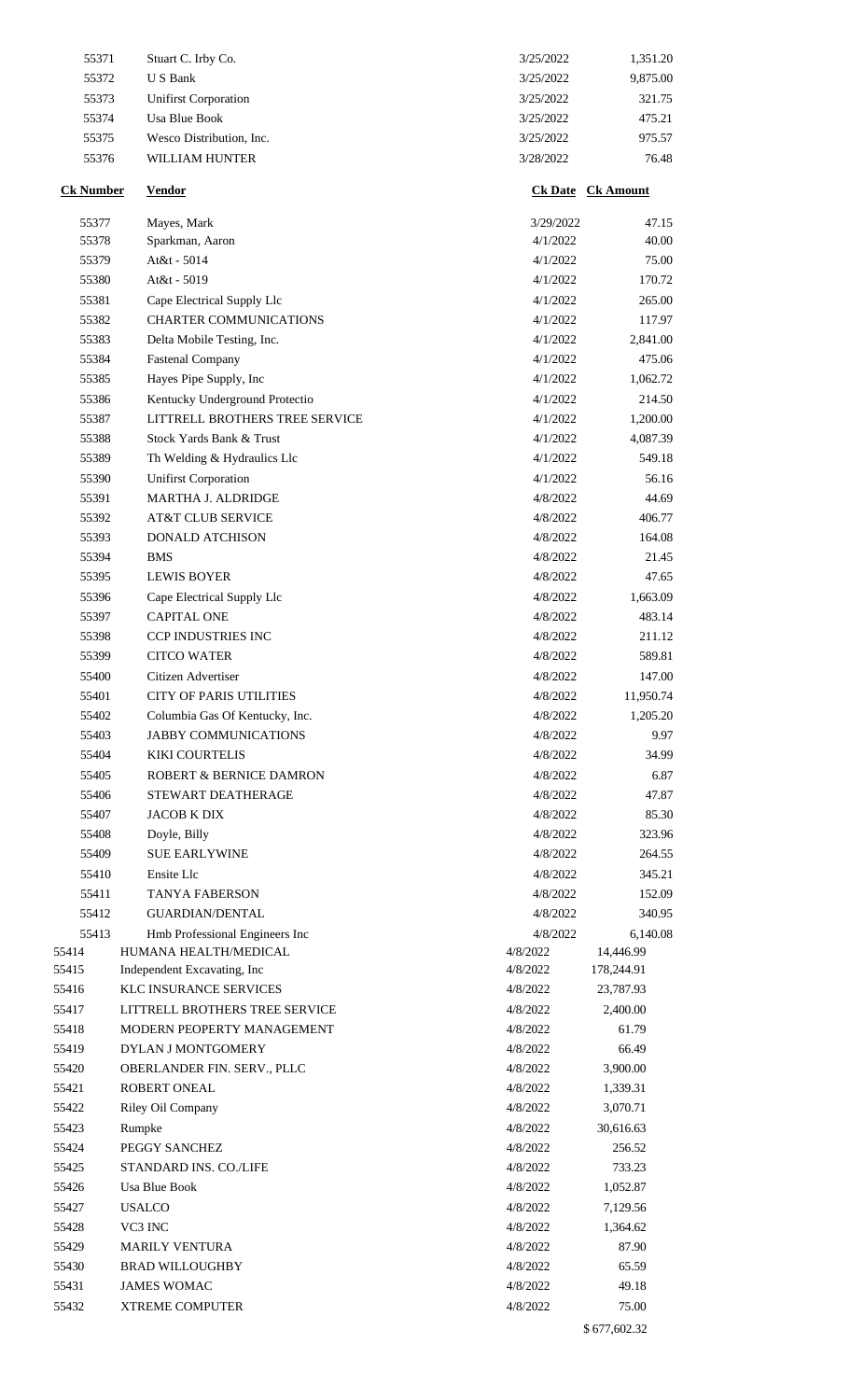| 55371            | Stuart C. Irby Co.               | 3/25/2022            | 1,351.20                 |
|------------------|----------------------------------|----------------------|--------------------------|
| 55372            | <b>US</b> Bank                   | 3/25/2022            | 9,875.00                 |
| 55373            | <b>Unifirst Corporation</b>      | 3/25/2022            | 321.75                   |
| 55374            | Usa Blue Book                    | 3/25/2022            | 475.21                   |
| 55375            | Wesco Distribution, Inc.         | 3/25/2022            | 975.57                   |
| 55376            | <b>WILLIAM HUNTER</b>            | 3/28/2022            | 76.48                    |
| <b>Ck Number</b> | <b>Vendor</b>                    |                      | <b>Ck Date Ck Amount</b> |
| 55377            | Mayes, Mark                      | 3/29/2022            | 47.15                    |
| 55378            | Sparkman, Aaron                  | 4/1/2022             | 40.00                    |
| 55379            | At&t - 5014                      | 4/1/2022             | 75.00                    |
| 55380            | At&t - 5019                      | 4/1/2022             | 170.72                   |
| 55381            | Cape Electrical Supply Llc       | 4/1/2022             | 265.00                   |
| 55382            | <b>CHARTER COMMUNICATIONS</b>    | 4/1/2022             | 117.97                   |
| 55383            | Delta Mobile Testing, Inc.       | 4/1/2022             | 2,841.00                 |
| 55384            | <b>Fastenal Company</b>          | 4/1/2022             | 475.06                   |
| 55385            | Hayes Pipe Supply, Inc           | 4/1/2022             | 1,062.72                 |
| 55386            | Kentucky Underground Protectio   | 4/1/2022             | 214.50                   |
| 55387            | LITTRELL BROTHERS TREE SERVICE   | 4/1/2022             | 1,200.00                 |
| 55388            | Stock Yards Bank & Trust         | 4/1/2022             | 4,087.39                 |
| 55389            | Th Welding & Hydraulics Llc      | 4/1/2022             | 549.18                   |
| 55390            | <b>Unifirst Corporation</b>      | 4/1/2022             | 56.16                    |
| 55391            | MARTHA J. ALDRIDGE               | 4/8/2022             | 44.69                    |
| 55392            | <b>AT&amp;T CLUB SERVICE</b>     | 4/8/2022             | 406.77                   |
| 55393            | DONALD ATCHISON                  | 4/8/2022             | 164.08                   |
| 55394<br>55395   | <b>BMS</b><br><b>LEWIS BOYER</b> | 4/8/2022<br>4/8/2022 | 21.45<br>47.65           |
| 55396            | Cape Electrical Supply Llc       | 4/8/2022             | 1,663.09                 |
| 55397            | <b>CAPITAL ONE</b>               | 4/8/2022             | 483.14                   |
| 55398            | <b>CCP INDUSTRIES INC</b>        | 4/8/2022             | 211.12                   |
| 55399            | <b>CITCO WATER</b>               | 4/8/2022             | 589.81                   |
| 55400            | Citizen Advertiser               | 4/8/2022             | 147.00                   |
| 55401            | <b>CITY OF PARIS UTILITIES</b>   | 4/8/2022             | 11,950.74                |
| 55402            | Columbia Gas Of Kentucky, Inc.   | 4/8/2022             | 1,205.20                 |
| 55403            | <b>JABBY COMMUNICATIONS</b>      | 4/8/2022             | 9.97                     |
| 55404            | <b>KIKI COURTELIS</b>            | 4/8/2022             | 34.99                    |
| 55405            | ROBERT & BERNICE DAMRON          | 4/8/2022             | 6.87                     |
| 55406            | STEWART DEATHERAGE               | 4/8/2022             | 47.87                    |
| 55407            | <b>JACOB K DIX</b>               | 4/8/2022             | 85.30                    |
| 55408            | Doyle, Billy                     | 4/8/2022             | 323.96                   |
| 55409            | <b>SUE EARLYWINE</b>             | 4/8/2022             | 264.55                   |
| 55410            | Ensite Llc                       | 4/8/2022             | 345.21                   |
| 55411            | <b>TANYA FABERSON</b>            | 4/8/2022             | 152.09                   |
| 55412            | <b>GUARDIAN/DENTAL</b>           | 4/8/2022             | 340.95                   |
| 55413            | Hmb Professional Engineers Inc   | 4/8/2022             | 6,140.08                 |
| 55414            | HUMANA HEALTH/MEDICAL            | 4/8/2022             | 14,446.99                |
| 55415            | Independent Excavating, Inc.     | 4/8/2022             | 178,244.91               |
| 55416            | KLC INSURANCE SERVICES           | 4/8/2022             | 23,787.93                |
| 55417            | LITTRELL BROTHERS TREE SERVICE   | 4/8/2022             | 2,400.00                 |
| 55418            | MODERN PEOPERTY MANAGEMENT       | 4/8/2022             | 61.79                    |
| 55419            | DYLAN J MONTGOMERY               | 4/8/2022             | 66.49                    |
| 55420            | OBERLANDER FIN. SERV., PLLC      | 4/8/2022             | 3,900.00                 |
| 55421            | <b>ROBERT ONEAL</b>              | 4/8/2022             | 1,339.31                 |
| 55422            | Riley Oil Company                | 4/8/2022             | 3,070.71                 |
| 55423            | Rumpke                           | 4/8/2022             | 30,616.63                |
| 55424            | PEGGY SANCHEZ                    | 4/8/2022             | 256.52                   |
| 55425            | STANDARD INS. CO./LIFE           | 4/8/2022             | 733.23                   |
| 55426            | <b>Usa Blue Book</b>             | 4/8/2022             | 1,052.87                 |
| 55427            | <b>USALCO</b>                    | 4/8/2022             | 7,129.56                 |
| 55428            | VC3 INC                          | 4/8/2022             | 1,364.62                 |
| 55429            | <b>MARILY VENTURA</b>            | 4/8/2022             | 87.90                    |
| 55430            | <b>BRAD WILLOUGHBY</b>           | 4/8/2022             | 65.59                    |
| 55431            | <b>JAMES WOMAC</b>               | 4/8/2022             | 49.18                    |
| 55432            | <b>XTREME COMPUTER</b>           | 4/8/2022             | 75.00                    |
|                  |                                  |                      | \$677,602.32             |